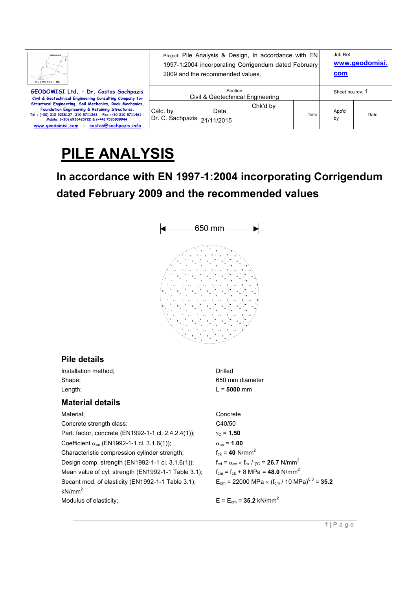| <br>GEODOMISI Ltd.                                                                                                                                                                                                                                                      | Project: Pile Analysis & Design, In accordance with EN<br>1997-1:2004 incorporating Corrigendum dated February<br>2009 and the recommended values. |      |          |      | Job Ref.<br>com  | www.geodomisi. |
|-------------------------------------------------------------------------------------------------------------------------------------------------------------------------------------------------------------------------------------------------------------------------|----------------------------------------------------------------------------------------------------------------------------------------------------|------|----------|------|------------------|----------------|
| GEODOMISI Ltd. - Dr. Costas Sachpazis<br>Civil & Geotechnical Engineering Consulting Company for                                                                                                                                                                        | Section<br>Civil & Geotechnical Engineering                                                                                                        |      |          |      | Sheet no./rev. 1 |                |
| Structural Engineering, Soil Mechanics, Rock Mechanics,<br>Foundation Engineering & Retaining Structures.<br>Tel.: (+30) 210 5238127, 210 5711263 - Fax.:+30 210 5711461 -<br>Mobile: (+30) 6936425722 & (+44) 7585939944.<br>www.geodomisi.com - costas@sachpazis.info | Calc. by<br>Dr. C. Sachpazis   21/11/2015                                                                                                          | Date | Chk'd by | Date | App'd<br>by      | Date           |

# **PILE ANALYSIS**

# **In accordance with EN 1997-1:2004 incorporating Corrigendum dated February 2009 and the recommended values**



# **Pile details**

Installation method; Drilled Shape; 650 mm diameter Length; 2000 mm

### **Material details**

Material; Concrete Concrete strength class; C40/50 Part. factor, concrete (EN1992-1-1 cl. 2.4.2.4(1));  $γ<sub>C</sub> = 1.50$ Coefficient  $\alpha_{cc}$  (EN1992-1-1 cl. 3.1.6(1));  $\alpha_{cc} = 1.00$ Characteristic compression cylinder strength;  $f_{ck} = 40$  N/mm<sup>2</sup> Design comp. strength (EN1992-1-1 cl. 3.1.6(1));  $f_{cd} = \alpha_{cc} \times f_{ck} / \gamma_c = 26.7 \text{ N/mm}^2$ Mean value of cyl. strength (EN1992-1-1 Table 3.1);  $f_{cm} = f_{ck} + 8$  MPa = 48.0 N/mm<sup>2</sup> Secant mod. of elasticity (EN1992-1-1 Table 3.1);  $kN/mm<sup>2</sup>$ Modulus of elasticity;  $E = E_{cm} = 35.2 \text{ kN/mm}^2$ 

 $E_{cm}$  = 22000 MPa  $\times$  (f<sub>cm</sub> / 10 MPa)<sup>0.3</sup> = **35.2**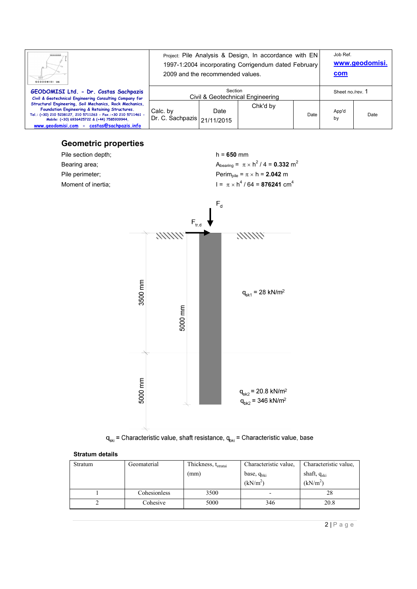| Ш.<br>GEODOMISI Ltd.                                                                                                                                                                                                                                                    | Project: Pile Analysis & Design, In accordance with EN<br>1997-1:2004 incorporating Corrigendum dated February<br>2009 and the recommended values. |      |          |      | Job Ref.<br>com  | www.geodomisi. |
|-------------------------------------------------------------------------------------------------------------------------------------------------------------------------------------------------------------------------------------------------------------------------|----------------------------------------------------------------------------------------------------------------------------------------------------|------|----------|------|------------------|----------------|
| GEODOMISI Ltd. - Dr. Costas Sachpazis<br>Civil & Geotechnical Engineering Consulting Company for                                                                                                                                                                        | Section<br>Civil & Geotechnical Engineering                                                                                                        |      |          |      | Sheet no./rev. 1 |                |
| Structural Engineering, Soil Mechanics, Rock Mechanics,<br>Foundation Engineering & Retaining Structures.<br>Tel.: (+30) 210 5238127, 210 5711263 - Fax.:+30 210 5711461 -<br>Mobile: (+30) 6936425722 & (+44) 7585939944.<br>www.geodomisi.com - costas@sachpazis.info | Calc. by<br>Dr. C. Sachpazis   21/11/2015                                                                                                          | Date | Chk'd by | Date | App'd<br>by      | Date           |

# **Geometric properties**





#### **Stratum details**

| Stratum | Geomaterial  | Thickness, t <sub>stratai</sub> | Characteristic value,    | Characteristic value. |
|---------|--------------|---------------------------------|--------------------------|-----------------------|
|         |              | (mm)                            | base, $q_{bki}$          | shaft, $q_{ski}$      |
|         |              |                                 | (kN/m <sup>2</sup> )     | (kN/m <sup>2</sup> )  |
|         | Cohesionless | 3500                            | $\overline{\phantom{0}}$ | 28                    |
|         | Cohesive     | 5000                            | 346                      | 20.8                  |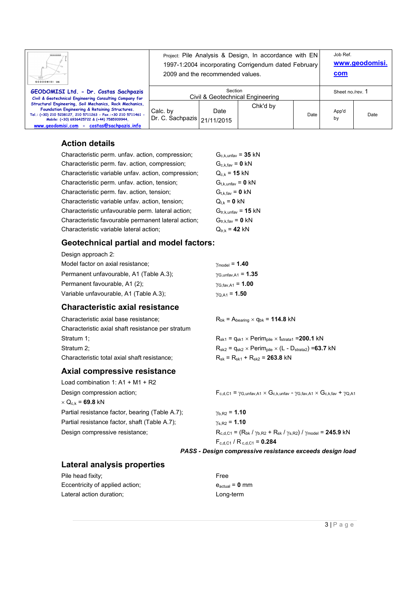| Ш.<br>GEODOMISI Ltd.                                                                                                                                                                                                                                                    | Project: Pile Analysis & Design, In accordance with EN<br>1997-1:2004 incorporating Corrigendum dated February<br>2009 and the recommended values. |      |          |      | Job Ref.<br><u>com</u> | www.geodomisi. |
|-------------------------------------------------------------------------------------------------------------------------------------------------------------------------------------------------------------------------------------------------------------------------|----------------------------------------------------------------------------------------------------------------------------------------------------|------|----------|------|------------------------|----------------|
| GEODOMISI Ltd. - Dr. Costas Sachpazis<br>Civil & Geotechnical Engineering Consulting Company for                                                                                                                                                                        | Section<br>Civil & Geotechnical Engineering                                                                                                        |      |          |      | Sheet no./rev. 1       |                |
| Structural Engineering, Soil Mechanics, Rock Mechanics,<br>Foundation Engineering & Retaining Structures.<br>Tel.: (+30) 210 5238127, 210 5711263 - Fax.:+30 210 5711461 -<br>Mobile: (+30) 6936425722 & (+44) 7585939944,<br>www.geodomisi.com - costas@sachpazis.info | Calc. by<br>Dr. C. Sachpazis   21/11/2015                                                                                                          | Date | Chk'd by | Date | App'd<br>by            | Date           |

#### **Action details**

| Characteristic perm. unfav. action, compression;    | $G_{c.k, \text{unfav}} = 35 \text{ kN}$ |
|-----------------------------------------------------|-----------------------------------------|
| Characteristic perm. fav. action, compression;      | $G_{c,k,fav} = 0 kN$                    |
| Characteristic variable unfav. action, compression; | $Q_{c,k} = 15 kN$                       |
| Characteristic perm. unfav. action, tension;        | $G_{t.k.\text{unfav}} = 0 \text{ kN}$   |
| Characteristic perm. fav. action, tension;          | $G_{t.k.fav} = 0$ kN                    |
| Characteristic variable unfav. action, tension;     | $Q_{t,k} = 0$ kN                        |
| Characteristic unfavourable perm. lateral action;   | $G_{tr,k,unfav} = 15$ kN                |
| Characteristic favourable permanent lateral action; | $G_{tr.k,fav} = 0$ kN                   |
| Characteristic variable lateral action;             | $Q_{tr,k} = 42$ kN                      |
|                                                     |                                         |

#### **Geotechnical partial and model factors:**

| Design approach 2:                      |                                     |
|-----------------------------------------|-------------------------------------|
| Model factor on axial resistance;       | $\gamma_{\text{model}} = 1.40$      |
| Permanent unfavourable, A1 (Table A.3); | $\gamma$ G,unfav,A1 = 1.35          |
| Permanent favourable, A1 (2);           | $\gamma_{G, \text{fav}, A1} = 1.00$ |
| Variable unfavourable, A1 (Table A.3);  | $\gamma_{\text{O.A1}} = 1.50$       |
|                                         |                                     |

# **Characteristic axial resistance**

| Characteristic axial base resistance:             | $R_{bk}$ = $A_{bearing}$ $\times$ $q_{bk}$ = 114.8 kN                                  |
|---------------------------------------------------|----------------------------------------------------------------------------------------|
| Characteristic axial shaft resistance per stratum |                                                                                        |
| Stratum 1;                                        | $R_{sk1}$ = $q_{sk1}$ × Perim <sub>pile</sub> × t <sub>strata1</sub> = <b>200.1</b> kN |
| Stratum 2:                                        | $R_{sk2}$ = $q_{sk2}$ × Perim <sub>pile</sub> × (L - D <sub>strata2</sub> ) = 63.7 kN  |
| Characteristic total axial shaft resistance:      | $R_{sk}$ = $R_{sk1}$ + $R_{sk2}$ = 263.8 kN                                            |

#### **Axial compressive resistance**

Load combination 1: A1 + M1 + R2 Design compression action;  $F_{c,d,C1} = \gamma_{G,unfav,A1} \times G_{c,k,unfav} - \gamma_{G,far,A1} \times G_{c,k,far} + \gamma_{Q,A1}$  $\times$  Q<sub>c,k</sub> = **69.8** kN Partial resistance factor, bearing (Table A.7);  $γ<sub>b.R2</sub> = 1.10$ Partial resistance factor, shaft (Table A.7);  $\gamma_{s,R2} = 1.10$ 

Design compressive resistance;  $R_{c,d,C1} = (R_{bk} / \gamma_{b,R2} + R_{sk} / \gamma_{s,R2}) / \gamma_{model} = 245.9 kN$  $F_{c,d,C1}$  /  $R_{c,d,C1}$  = **0.284** 

#### *PASS - Design compressive resistance exceeds design load*

### **Lateral analysis properties**

| Pile head fixity;               | Free    |
|---------------------------------|---------|
| Eccentricity of applied action; | eactual |
| Lateral action duration:        | Long    |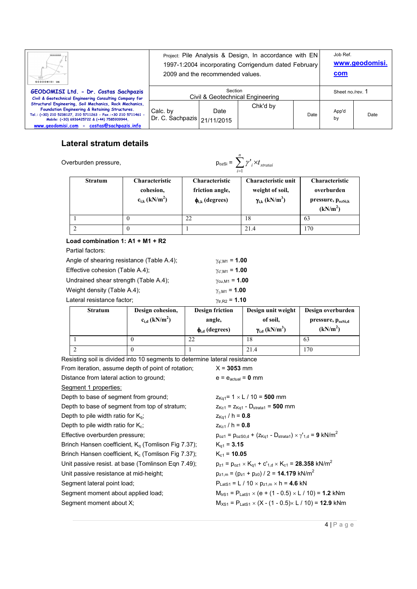| GEODOMISI Ltd.                                                                                                                                                                                                                                                          | Project: Pile Analysis & Design, In accordance with EN<br>1997-1:2004 incorporating Corrigendum dated February<br>2009 and the recommended values. |      |          |      | Job Ref.<br>com  | www.geodomisi. |
|-------------------------------------------------------------------------------------------------------------------------------------------------------------------------------------------------------------------------------------------------------------------------|----------------------------------------------------------------------------------------------------------------------------------------------------|------|----------|------|------------------|----------------|
| GEODOMISI Ltd. - Dr. Costas Sachpazis<br>Civil & Geotechnical Engineering Consulting Company for                                                                                                                                                                        | Section<br>Civil & Geotechnical Engineering                                                                                                        |      |          |      | Sheet no./rev. 1 |                |
| Structural Engineering, Soil Mechanics, Rock Mechanics,<br>Foundation Engineering & Retaining Structures.<br>Tel.: (+30) 210 5238127, 210 5711263 - Fax.:+30 210 5711461 -<br>Mobile: (+30) 6936425722 & (+44) 7585939944,<br>www.geodomisi.com - costas@sachpazis.info | Calc. by<br>Dr. C. Sachpazis   21/11/2015                                                                                                          | Date | Chk'd by | Date | App'd<br>by      | Date           |

# **Lateral stratum details**

Overburden pressure, pozzi  $p_0$ 

$$
b_{\text{ozSi}} = \sum_{i=1}^{n} \gamma'_{i} \times t_{\text{stratai}}
$$

|                | $i=1$                                                                |                                                                    |                                                                               |                                                                                       |  |  |  |
|----------------|----------------------------------------------------------------------|--------------------------------------------------------------------|-------------------------------------------------------------------------------|---------------------------------------------------------------------------------------|--|--|--|
| <b>Stratum</b> | <b>Characteristic</b><br>cohesion,<br>$c_{i,k}$ (kN/m <sup>2</sup> ) | <b>Characteristic</b><br>friction angle,<br>$\phi_{i,k}$ (degrees) | Characteristic unit<br>weight of soil,<br>$\gamma_{i,k}$ (kN/m <sup>3</sup> ) | <b>Characteristic</b><br>overburden<br>pressure, $p_{ozSi,k}$<br>(kN/m <sup>2</sup> ) |  |  |  |
|                |                                                                      |                                                                    | 18                                                                            | 63                                                                                    |  |  |  |
|                |                                                                      |                                                                    | 21.4                                                                          | 170                                                                                   |  |  |  |

#### **Load combination 1: A1 + M1 + R2**

Partial factors:

| Angle of shearing resistance (Table A.4); | $\gamma_{\phi, \rm M1} = 1.00$ |
|-------------------------------------------|--------------------------------|
| Effective cohesion (Table A.4);           | $\gamma_{\rm CIM1} = 1.00$     |
| Undrained shear strength (Table A.4);     | $\gamma_{\rm cu, M1} = 1.00$   |
| Weight density (Table A.4);               | $\gamma_{\gamma, M1} = 1.00$   |
| Lateral resistance factor:                | $\gamma_{\text{tr.R2}} = 1.10$ |
|                                           |                                |

| <b>Stratum</b> | Design cohesion,<br>$c_{i,d}$ (kN/m <sup>2</sup> ) | <b>Design friction</b><br>angle,<br>$\phi_{i,d}$ (degrees) | Design unit weight<br>of soil,<br>$\gamma_{i,d}$ (kN/m <sup>3</sup> ) | Design overburden<br>pressure, $p_{ozSi,d}$<br>(kN/m <sup>2</sup> ) |
|----------------|----------------------------------------------------|------------------------------------------------------------|-----------------------------------------------------------------------|---------------------------------------------------------------------|
|                | v                                                  | 22                                                         | 18                                                                    | 63                                                                  |
|                |                                                    |                                                            | 21.4                                                                  | 170                                                                 |

Resisting soil is divided into 10 segments to determine lateral resistance

| From iteration, assume depth of point of rotation;    | $X = 3053$ mm                                                                              |
|-------------------------------------------------------|--------------------------------------------------------------------------------------------|
| Distance from lateral action to ground;               | $e = e_{actual} = 0$ mm                                                                    |
| Segment 1 properties:                                 |                                                                                            |
| Depth to base of segment from ground;                 | $z_{\text{Kq1}} = 1 \times L / 10 = 500$ mm                                                |
| Depth to base of segment from top of stratum;         | $z_{Kc1} = z_{Kq1} - D_{strata1} = 500$ mm                                                 |
| Depth to pile width ratio for $K_{0}$ ;               | $z_{\text{Kg1}}$ / h = 0.8                                                                 |
| Depth to pile width ratio for $K_c$ ;                 | $z_{Kc1}$ / h = 0.8                                                                        |
| Effective overburden pressure;                        | $p_{oz1} = p_{ozS0,d} + (z_{Kq1} - D_{strata1}) \times \gamma_{1,d} = 9$ kN/m <sup>2</sup> |
| Brinch Hansen coefficient, $K_q$ (Tomlison Fig 7.37); | $K_{\alpha 1} = 3.15$                                                                      |
| Brinch Hansen coefficient, $K_c$ (Tomlison Fig 7.37); | $K_{c1} = 10.05$                                                                           |
| Unit passive resist. at base (Tomlinson Eqn 7.49);    | $p_{z1} = p_{oz1} \times K_{q1} + c'_{1,d} \times K_{c1} = 28.358$ kN/m <sup>2</sup>       |
| Unit passive resistance at mid-height;                | $p_{z1,m} = (p_{z1} + p_{z0}) / 2 = 14.179$ kN/m <sup>2</sup>                              |
| Segment lateral point load;                           | $P_{\text{LatS1}} = L / 10 \times p_{z1,m} \times h = 4.6$ kN                              |
| Segment moment about applied load;                    | $M_{\text{trS1}} = P_{\text{Lats1}} \times (e + (1 - 0.5) \times L / 10) = 1.2$ kNm        |
| Segment moment about X;                               | $M_{XS1}$ = P <sub>LatS1</sub> × (X - (1 - 0.5)× L / 10) = <b>12.9</b> kNm                 |
|                                                       |                                                                                            |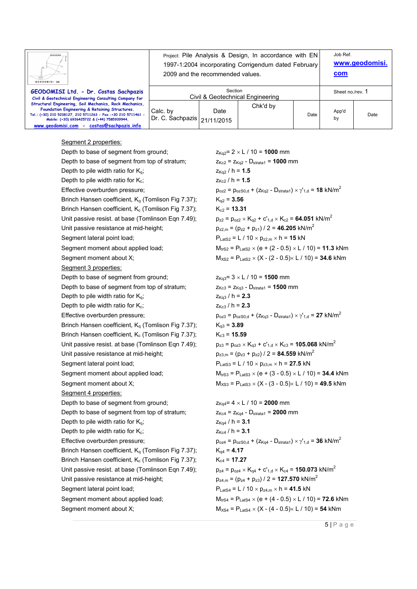| Ш.<br>GEODOMISI Ltd.                                                                                                                                                                                                                                                    | Project: Pile Analysis & Design, In accordance with EN<br>1997-1:2004 incorporating Corrigendum dated February<br>2009 and the recommended values. |      |          |      | Job Ref.<br>com  | www.geodomisi. |
|-------------------------------------------------------------------------------------------------------------------------------------------------------------------------------------------------------------------------------------------------------------------------|----------------------------------------------------------------------------------------------------------------------------------------------------|------|----------|------|------------------|----------------|
| GEODOMISI Ltd. - Dr. Costas Sachpazis<br>Civil & Geotechnical Engineering Consulting Company for                                                                                                                                                                        | Section<br>Civil & Geotechnical Engineering                                                                                                        |      |          |      | Sheet no./rev. 1 |                |
| Structural Engineering, Soil Mechanics, Rock Mechanics,<br>Foundation Engineering & Retaining Structures.<br>Tel.: (+30) 210 5238127, 210 5711263 - Fax.:+30 210 5711461 -<br>Mobile: (+30) 6936425722 & (+44) 7585939944.<br>www.geodomisi.com - costas@sachpazis.info | Calc. by<br>Dr. C. Sachpazis   21/11/2015                                                                                                          | Date | Chk'd by | Date | App'd<br>by      | Date           |

#### Segment 2 properties:

| Depth to base of segment from ground;                          |
|----------------------------------------------------------------|
| Depth to base of segment from top of stratum;                  |
| Depth to pile width ratio for $K_q$ ;                          |
| Depth to pile width ratio for K <sub>c</sub> ;                 |
| Effective overburden pressure;                                 |
| Brinch Hansen coefficient, K <sub>q</sub> (Tomlison Fig 7.37); |
| Brinch Hansen coefficient, K <sub>c</sub> (Tomlison Fig 7.37); |
| Unit passive resist. at base (Tomlinson Eqn 7.49);             |
| Unit passive resistance at mid-height;                         |
| Segment lateral point load;                                    |
| Segment moment about applied load;                             |
| Segment moment about X;                                        |
| Segment 3 properties:                                          |
| Depth to base of segment from ground;                          |
| Depth to base of segment from top of stratum;                  |
| Depth to pile width ratio for $K_q$ ;                          |
| Depth to pile width ratio for K <sub>c</sub> ;                 |
| Effective overburden pressure;                                 |
| Brinch Hansen coefficient, K <sub>q</sub> (Tomlison Fig 7.37); |
| Brinch Hansen coefficient, K <sub>c</sub> (Tomlison Fig 7.37); |
| Unit passive resist. at base (Tomlinson Eqn 7.49);             |
| Unit passive resistance at mid-height;                         |
| Segment lateral point load;                                    |
| Segment moment about applied load;                             |
| Segment moment about X;                                        |
| Segment 4 properties:                                          |
| Depth to base of segment from ground;                          |
| Depth to base of segment from top of stratum;                  |
| Depth to pile width ratio for $K_q$ ;                          |
| Depth to pile width ratio for K <sub>c</sub> ;                 |
| Effective overburden pressure;                                 |
| Brinch Hansen coefficient, K <sub>q</sub> (Tomlison Fig 7.37); |
| Brinch Hansen coefficient, K <sub>c</sub> (Tomlison Fig 7.37); |
| Unit passive resist. at base (Tomlinson Eqn 7.49);             |
| Unit passive resistance at mid-height;                         |
| Segment lateral point load;                                    |
| Segment moment about applied load;                             |
| Seament moment about X <sup>1</sup>                            |

 $Z_{Kq2}= 2 \times L / 10 = 1000$  mm  $Z_{Kc2} = Z_{Kq2} - D_{\text{strata1}} = 1000$  mm  $Z_{Kq2}$  / h = 1.5  $z_{Kc2}$  / h = 1.5  $p_{oz2} = p_{ozS0,d} + (z_{Kq2} - D_{strata1}) \times γ'_{1,d} =$  **18** kN/m<sup>2</sup>  $K_{q2} = 3.56$  $K_{c2} = 13.31$  $p_{z2} = p_{oz2} \times K_{q2} + c'_{1,d} \times K_{c2} = 64.051 \text{ kN/m}^2$  $p_{z2,m} = (p_{z2} + p_{z1}) / 2 = 46.205$  kN/m<sup>2</sup>  $P_{\text{LatS2}} = L / 10 \times p_{z2,m} \times h = 15$  kN  $M_{trS2} = P_{LatS2} \times (e + (2 - 0.5) \times L / 10) = 11.3$  kNm  $M_{XS2} = P_{\text{LatS2}} \times (X - (2 - 0.5) \times 1 / 10) = 34.6$  kNm

 $Z_{Kq3}= 3 \times L / 10 = 1500$  mm  $Z_{Kc3} = Z_{Kq3} - D_{\text{strata1}} = 1500$  mm  $Z_{Kq3}$  / h = 2.3  $Z_{Kc3}$  / h = 2.3  $p_{oz3} = p_{ozS0,d} + (z_{Kq3} - D_{strata1}) \times γ'_{1,d} = 27$  kN/m<sup>2</sup>  $K_{q3} = 3.89$  $K_{c3} = 15.59$  $p_{z3} = p_{oz3} \times K_{q3} + c'_{1,d} \times K_{c3} = 105.068 \text{ kN/m}^2$  $p_{z3,m} = (p_{z3} + p_{z2}) / 2 = 84.559$  kN/m<sup>2</sup>  $P_{\text{LatS3}} = L / 10 \times p_{z3,m} \times h = 27.5$  kN  $M_{trS3} = P_{LatS3} \times (e + (3 - 0.5) \times L / 10) = 34.4$  kNm  $M_{XS3} = P_{LatS3} \times (X - (3 - 0.5) \times L / 10) = 49.5$  kNm

 $Z_{Kq4} = 4 \times L / 10 = 2000$  mm  $Z_{Kc4} = Z_{Kq4} - D_{\text{strata1}} = 2000$  mm  $Z_{Kq4}$  / h = 3.1  $Z_{Kc4}$  / h = 3.1  $p_{oz4} = p_{ozS0,d} + (z_{Kq4} - D_{strata1}) \times \gamma_{1,d} = 36$  kN/m<sup>2</sup>  $K_{q4} = 4.17$  $K_{c4} = 17.27$  $p_{z4} = p_{oz4} \times K_{q4} + c'_{1,d} \times K_{c4} = 150.073 \text{ kN/m}^2$  $p_{z4,m} = (p_{z4} + p_{z3}) / 2 = 127.570 \text{ kN/m}^2$  $P_{\text{LatS4}} = L / 10 \times p_{z4,m} \times h = 41.5$  kN  $M_{\text{trS4}} = P_{\text{LatS4}} \times (e + (4 - 0.5) \times L / 10) = 72.6$  kNm Segment moment about X;  $M_{XSA} = P_{LatSA} \times (X - (4 - 0.5) \times L / 10) = 54$  kNm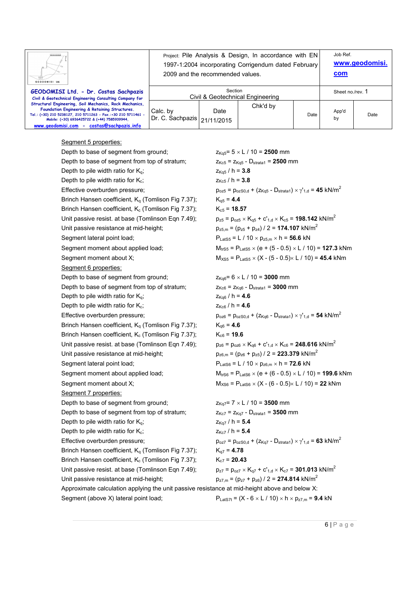| GEODOMISI Ltd.                                                                                                                                                                                                                                                          | Project: Pile Analysis & Design, In accordance with EN<br>1997-1:2004 incorporating Corrigendum dated February<br>2009 and the recommended values. |      |          |      | Job Ref.<br>com  | www.geodomisi. |
|-------------------------------------------------------------------------------------------------------------------------------------------------------------------------------------------------------------------------------------------------------------------------|----------------------------------------------------------------------------------------------------------------------------------------------------|------|----------|------|------------------|----------------|
| GEODOMISI Ltd. - Dr. Costas Sachpazis<br>Civil & Geotechnical Engineering Consulting Company for                                                                                                                                                                        | Section<br>Civil & Geotechnical Engineering                                                                                                        |      |          |      | Sheet no./rev. 1 |                |
| Structural Engineering, Soil Mechanics, Rock Mechanics,<br>Foundation Engineering & Retaining Structures.<br>Tel.: (+30) 210 5238127, 210 5711263 - Fax.:+30 210 5711461 -<br>Mobile: (+30) 6936425722 & (+44) 7585939944.<br>www.geodomisi.com - costas@sachpazis.info | Calc. by<br>Dr. C. Sachpazis   21/11/2015                                                                                                          | Date | Chk'd by | Date | App'd<br>by      | Date           |

#### Segment 5 properties:

| Depth to base of segment from ground;                                                         | $z_{Kq5}$ = 5 $\times$ L / 10 = 2500 mm                                                         |
|-----------------------------------------------------------------------------------------------|-------------------------------------------------------------------------------------------------|
| Depth to base of segment from top of stratum;                                                 | $Z_{Kc5}$ = $Z_{Ka5}$ - $D_{\text{strata1}}$ = 2500 mm                                          |
| Depth to pile width ratio for $K_q$ ;                                                         | $z_{Kq5}$ / h = 3.8                                                                             |
| Depth to pile width ratio for $K_c$ ;                                                         | $z_{Kc5}$ / h = 3.8                                                                             |
| Effective overburden pressure;                                                                | $p_{oz5} = p_{ozS0,d} + (z_{Kq5} - D_{\text{strata1}}) \times \gamma_{1,d} = 45 \text{ kN/m}^2$ |
| Brinch Hansen coefficient, K <sub>q</sub> (Tomlison Fig 7.37);                                | $K_{q5} = 4.4$                                                                                  |
| Brinch Hansen coefficient, K <sub>c</sub> (Tomlison Fig 7.37);                                | $K_{c5}$ = 18.57                                                                                |
| Unit passive resist. at base (Tomlinson Eqn 7.49);                                            | $p_{z5} = p_{oz5} \times K_{q5} + c'_{1,d} \times K_{c5} = 198.142$ kN/m <sup>2</sup>           |
| Unit passive resistance at mid-height;                                                        | $p_{z5,m} = (p_{z5} + p_{z4}) / 2 = 174.107$ kN/m <sup>2</sup>                                  |
| Segment lateral point load;                                                                   | $P_{\text{LatS5}} = L / 10 \times p_{z5,m} \times h = 56.6$ kN                                  |
| Segment moment about applied load;                                                            | $M_{trS5}$ = P <sub>LatS5</sub> $\times$ (e + (5 - 0.5) $\times$ L / 10) = <b>127.3</b> kNm     |
| Segment moment about X;                                                                       | $M_{XSS}$ = P <sub>LatS5</sub> $\times$ (X - (5 - 0.5) $\times$ L / 10) = <b>45.4</b> kNm       |
| Segment 6 properties:                                                                         |                                                                                                 |
| Depth to base of segment from ground;                                                         | $z_{Kq6} = 6 \times L / 10 = 3000$ mm                                                           |
| Depth to base of segment from top of stratum;                                                 | $Z_{Kc6} = Z_{Kq6} - D_{strata1} = 3000$ mm                                                     |
| Depth to pile width ratio for $K_q$ ;                                                         | $z_{Kq6}$ / h = 4.6                                                                             |
| Depth to pile width ratio for $K_c$ ;                                                         | $Z_{Kc6}$ / h = 4.6                                                                             |
| Effective overburden pressure;                                                                | $p_{oz6} = p_{ozS0,d} + (z_{Kq6} - D_{strata1}) \times \gamma_{1,d} =$ 54 kN/m <sup>2</sup>     |
| Brinch Hansen coefficient, K <sub>q</sub> (Tomlison Fig 7.37);                                | $K_{q6} = 4.6$                                                                                  |
| Brinch Hansen coefficient, K <sub>c</sub> (Tomlison Fig 7.37);                                | $K_{c6}$ = 19.6                                                                                 |
| Unit passive resist. at base (Tomlinson Eqn 7.49);                                            | $p_{z6} = p_{oz6} \times K_{q6} + c'_{1,d} \times K_{c6} = 248.616$ kN/m <sup>2</sup>           |
| Unit passive resistance at mid-height;                                                        | $p_{z6,m} = (p_{z6} + p_{z5}) / 2 = 223.379$ kN/m <sup>2</sup>                                  |
| Segment lateral point load;                                                                   | $P_{\text{LatS6}} = L / 10 \times p_{z6,m} \times h = 72.6$ kN                                  |
| Segment moment about applied load;                                                            | $M_{trS6}$ = P <sub>LatS6</sub> $\times$ (e + (6 - 0.5) $\times$ L / 10) = <b>199.6</b> kNm     |
| Segment moment about X;                                                                       | $M_{XS6}$ = $P_{LatS6}$ × (X - (6 - 0.5)× L / 10) = 22 kNm                                      |
| Segment 7 properties:                                                                         |                                                                                                 |
| Depth to base of segment from ground;                                                         | $z_{\text{Kq7}}$ = 7 $\times$ L / 10 = 3500 mm                                                  |
| Depth to base of segment from top of stratum;                                                 | $Z_{\text{Kc7}} = Z_{\text{Kq7}} - D_{\text{strata1}} = 3500$ mm                                |
| Depth to pile width ratio for $K_q$ ;                                                         | $z_{\text{Kq7}}$ / h = 5.4                                                                      |
| Depth to pile width ratio for K <sub>c</sub> ;                                                | $z_{Kc7}$ / h = 5.4                                                                             |
| Effective overburden pressure;                                                                | $p_{oz7} = p_{ozS0,d} + (z_{Kq7} - D_{strata1}) \times \gamma_{1,d} = 63$ kN/m <sup>2</sup>     |
| Brinch Hansen coefficient, K <sub>q</sub> (Tomlison Fig 7.37);                                | $K_{q7} = 4.78$                                                                                 |
| Brinch Hansen coefficient, K <sub>c</sub> (Tomlison Fig 7.37);                                | $K_{c7}$ = 20.43                                                                                |
| Unit passive resist. at base (Tomlinson Eqn 7.49);                                            | $p_{z7} = p_{oz7} \times K_{q7} + c'_{1,d} \times K_{c7} = 301.013$ kN/m <sup>2</sup>           |
| Unit passive resistance at mid-height;                                                        | $p_{z7,m} = (p_{z7} + p_{z6}) / 2 = 274.814$ kN/m <sup>2</sup>                                  |
| Approximate calculation applying the unit passive resistance at mid-height above and below X: |                                                                                                 |
| Segment (above X) lateral point load;                                                         | $P_{\text{LatS7t}} = (X - 6 \times L / 10) \times h \times p_{z7,m} = 9.4 kN$                   |
|                                                                                               |                                                                                                 |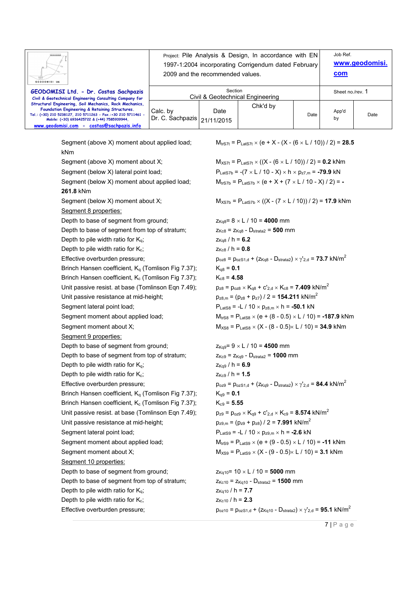|                                                                                                               |                  |                                  | Project: Pile Analysis & Design, In accordance with EN                                        |      | Job Ref.         | www.geodomisi. |
|---------------------------------------------------------------------------------------------------------------|------------------|----------------------------------|-----------------------------------------------------------------------------------------------|------|------------------|----------------|
|                                                                                                               |                  |                                  | 1997-1:2004 incorporating Corrigendum dated February                                          |      |                  |                |
| GEODOMISI Ltd.                                                                                                |                  | 2009 and the recommended values. |                                                                                               |      | com              |                |
| GEODOMISI Ltd. - Dr. Costas Sachpazis                                                                         |                  | Section                          |                                                                                               |      | Sheet no./rev. 1 |                |
| Civil & Geotechnical Engineering Consulting Company for                                                       |                  |                                  | Civil & Geotechnical Engineering                                                              |      |                  |                |
| Structural Engineering, Soil Mechanics, Rock Mechanics,<br>Foundation Engineering & Retaining Structures.     | Calc. by         | Date                             | Chk'd by                                                                                      |      | App'd            |                |
| Tel.: (+30) 210 5238127, 210 5711263 - Fax.:+30 210 5711461 -<br>Mobile: (+30) 6936425722 & (+44) 7585939944, | Dr. C. Sachpazis | 21/11/2015                       |                                                                                               | Date | by               | Date           |
| www.geodomisi.com - costas@sachpazis.info                                                                     |                  |                                  |                                                                                               |      |                  |                |
| Segment (above X) moment about applied load;                                                                  |                  |                                  | $M_{\text{tr}STt}$ = P <sub>LatS7t</sub> × (e + X - (X - (6 × L / 10)) / 2) = <b>28.5</b>     |      |                  |                |
| kNm                                                                                                           |                  |                                  |                                                                                               |      |                  |                |
| Segment (above X) moment about X;                                                                             |                  |                                  | $M_{XSTt}$ = P <sub>LatS7t</sub> × ((X - (6 × L / 10)) / 2) = <b>0.2</b> kNm                  |      |                  |                |
| Segment (below X) lateral point load;                                                                         |                  |                                  | $P_{\text{LatS7b}} = -(7 \times L / 10 - X) \times h \times p_{z7,m} = -79.9 \text{ kN}$      |      |                  |                |
| Segment (below X) moment about applied load;                                                                  |                  |                                  | $M_{trS7b} = P_{LatS7b} \times (e + X + (7 \times L / 10 - X) / 2) = -$                       |      |                  |                |
| 261.8 kNm                                                                                                     |                  |                                  |                                                                                               |      |                  |                |
| Segment (below X) moment about X;                                                                             |                  |                                  | $M_{XS7b}$ = P <sub>LatS7b</sub> × ((X - (7 × L / 10)) / 2) = <b>17.9</b> kNm                 |      |                  |                |
| Segment 8 properties:                                                                                         |                  |                                  |                                                                                               |      |                  |                |
| Depth to base of segment from ground;                                                                         |                  |                                  | $Z_{Kq8} = 8 \times L / 10 = 4000$ mm                                                         |      |                  |                |
| Depth to base of segment from top of stratum;                                                                 |                  |                                  | $Z_{Kc8} = Z_{Kq8} - D_{strata2} = 500$ mm                                                    |      |                  |                |
| Depth to pile width ratio for $K_q$ ;                                                                         |                  | $z_{Kq8}$ / h = 6.2              |                                                                                               |      |                  |                |
| Depth to pile width ratio for $K_c$ ;                                                                         |                  | $Z_{Kc8}$ / h = 0.8              |                                                                                               |      |                  |                |
| Effective overburden pressure;                                                                                |                  |                                  | $p_{oz8} = p_{ozS1,d} + (z_{Kq8} - D_{strata2}) \times \gamma'_{2,d} = 73.7 \text{ kN/m}^2$   |      |                  |                |
| Brinch Hansen coefficient, K <sub>q</sub> (Tomlison Fig 7.37);                                                |                  | $K_{q8} = 0.1$                   |                                                                                               |      |                  |                |
| Brinch Hansen coefficient, K <sub>c</sub> (Tomlison Fig 7.37);                                                |                  | $K_{c8} = 4.58$                  |                                                                                               |      |                  |                |
| Unit passive resist. at base (Tomlinson Eqn 7.49);                                                            |                  |                                  | $p_{z8} = p_{0z8} \times K_{q8} + c'_{2,d} \times K_{c8} = 7.409$ kN/m <sup>2</sup>           |      |                  |                |
| Unit passive resistance at mid-height;                                                                        |                  |                                  | $p_{z8,m} = (p_{z8} + p_{z7}) / 2 = 154.211 \text{ kN/m}^2$                                   |      |                  |                |
| Segment lateral point load;                                                                                   |                  |                                  | $P_{LatS8}$ = -L / 10 $\times$ $p_{z8,m}$ $\times$ h = -50.1 kN                               |      |                  |                |
| Segment moment about applied load;                                                                            |                  |                                  | $M_{trS8}$ = P <sub>LatS8</sub> × (e + (8 - 0.5) × L / 10) = -187.9 kNm                       |      |                  |                |
| Segment moment about X;                                                                                       |                  |                                  | $M_{XS8}$ = P <sub>LatS8</sub> × (X - (8 - 0.5)× L / 10) = <b>34.9</b> kNm                    |      |                  |                |
| Segment 9 properties:                                                                                         |                  |                                  |                                                                                               |      |                  |                |
| Depth to base of segment from ground;                                                                         |                  |                                  | $Z_{Kq9} = 9 \times L / 10 = 4500$ mm                                                         |      |                  |                |
| Depth to base of segment from top of stratum;                                                                 |                  |                                  | $Z_{Kc9} = Z_{Kq9} - D_{strata2} = 1000$ mm                                                   |      |                  |                |
| Depth to pile width ratio for $K_q$ ;                                                                         |                  | $z_{Kq9}$ / h = 6.9              |                                                                                               |      |                  |                |
| Depth to pile width ratio for $K_c$ ;                                                                         |                  | $z_{Kc9}$ / h = 1.5              |                                                                                               |      |                  |                |
| Effective overburden pressure;                                                                                |                  |                                  | $p_{oz9} = p_{ozS1,d} + (z_{Kq9} - D_{strata2}) \times \gamma'_{2,d} = 84.4 \text{ kN/m}^2$   |      |                  |                |
| Brinch Hansen coefficient, K <sub>q</sub> (Tomlison Fig 7.37);                                                |                  | $K_{q9} = 0.1$                   |                                                                                               |      |                  |                |
| Brinch Hansen coefficient, K <sub>c</sub> (Tomlison Fig 7.37);                                                |                  | $K_{c9} = 5.55$                  |                                                                                               |      |                  |                |
| Unit passive resist. at base (Tomlinson Eqn 7.49);                                                            |                  |                                  | $p_{z9} = p_{0z9} \times K_{q9} + c'_{2,d} \times K_{c9} = 8.574$ kN/m <sup>2</sup>           |      |                  |                |
| Unit passive resistance at mid-height;                                                                        |                  |                                  | $p_{z9,m} = (p_{z9} + p_{z8}) / 2 = 7.991$ kN/m <sup>2</sup>                                  |      |                  |                |
| Segment lateral point load;                                                                                   |                  |                                  | $P_{\text{LatS9}} = -L / 10 \times p_{z9,m} \times h = -2.6$ kN                               |      |                  |                |
| Segment moment about applied load;                                                                            |                  |                                  | $M_{trS9} = P_{LatS9} \times (e + (9 - 0.5) \times L / 10) = -11$ kNm                         |      |                  |                |
| Segment moment about X;<br>Segment 10 properties:                                                             |                  |                                  | $M_{XSS}$ = P <sub>LatS9</sub> × (X - (9 - 0.5)× L / 10) = <b>3.1</b> kNm                     |      |                  |                |
| Depth to base of segment from ground;                                                                         |                  |                                  | $z_{Kq10}$ = 10 × L / 10 = 5000 mm                                                            |      |                  |                |
| Depth to base of segment from top of stratum;                                                                 |                  |                                  | $z_{Kc10} = z_{Kq10} - D_{strata2} = 1500$ mm                                                 |      |                  |                |
| Depth to pile width ratio for $K_q$ ;                                                                         |                  | $Z_{Kq10}$ / h = 7.7             |                                                                                               |      |                  |                |
| Depth to pile width ratio for $K_c$ ;                                                                         |                  | $z_{Kc10}$ / h = 2.3             |                                                                                               |      |                  |                |
| Effective overburden pressure;                                                                                |                  |                                  | $p_{oz10} = p_{ozS1,d} + (z_{Kq10} - D_{strata2}) \times \gamma'_{2,d} = 95.1 \text{ kN/m}^2$ |      |                  |                |
|                                                                                                               |                  |                                  |                                                                                               |      |                  |                |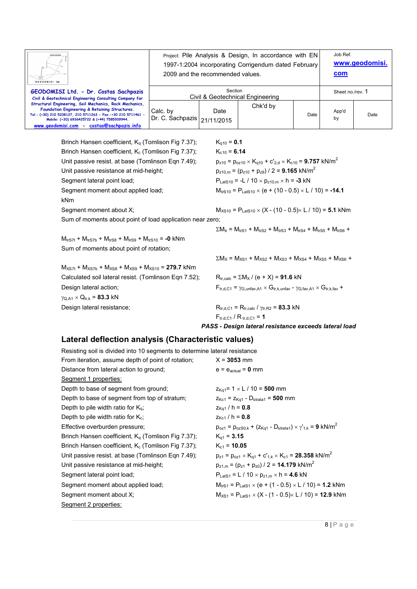| GEODOMISI Ltd.                                                                                                                                                                                                                                                          | Project: Pile Analysis & Design, In accordance with EN<br>1997-1:2004 incorporating Corrigendum dated February<br>2009 and the recommended values. |      |          |      | Job Ref.<br>com  | www.geodomisi. |
|-------------------------------------------------------------------------------------------------------------------------------------------------------------------------------------------------------------------------------------------------------------------------|----------------------------------------------------------------------------------------------------------------------------------------------------|------|----------|------|------------------|----------------|
| GEODOMISI Ltd. - Dr. Costas Sachpazis<br>Civil & Geotechnical Engineering Consulting Company for                                                                                                                                                                        | Section<br>Civil & Geotechnical Engineering                                                                                                        |      |          |      | Sheet no./rev. 1 |                |
| Structural Engineering, Soil Mechanics, Rock Mechanics,<br>Foundation Engineering & Retaining Structures.<br>Tel.: (+30) 210 5238127, 210 5711263 - Fax.:+30 210 5711461 -<br>Mobile: (+30) 6936425722 & (+44) 7585939944,<br>www.geodomisi.com - costas@sachpazis.info | Calc. by<br>Dr. C. Sachpazis   21/11/2015                                                                                                          | Date | Chk'd by | Date | App'd<br>by      | Date           |

Brinch Hansen coefficient,  $K_q$  (Tomlison Fig 7.37);  $K_{q10} = 0.1$ Brinch Hansen coefficient,  $K_c$  (Tomlison Fig 7.37);  $K_{c10} = 6.14$ Unit passive resist. at base (Tomlinson Eqn 7.49);  $p_{z10} = p_{oz10} \times K_{q10} + c'_{2,d} \times K_{c10} = 9.757 \text{ kN/m}^2$ Unit passive resistance at mid-height;  $p_{z10,m} = (p_{z10} + p_{z9}) / 2 = 9.165 \text{ kN/m}^2$ Segment lateral point load;  $P_{\text{LatS10}} = -L / 10 \times p_{\text{z10,m}} \times h = -3 kN$ Segment moment about applied load;  $M_{ttS10} = P_{LatS10} \times (e + (10 - 0.5) \times L / 10) = -14.1$ kNm Segment moment about X;  $M_{X510} = P_{\text{LatS10}} \times (X - (10 - 0.5) \times L / 10) = 5.1$  kNm Sum of moments about point of load application near zero;

 $M_{trS7t}$  +  $M_{trS7b}$  +  $M_{trS8}$  +  $M_{trS9}$  +  $M_{trS10}$  = -0 kNm Sum of moments about point of rotation;

 $γ<sub>Q.A1</sub> × Q<sub>tr,k</sub> = 83.3 kN$ 

 $M_{XSTt}$  +  $M_{XSTb}$  +  $M_{XSS}$  +  $M_{XSS}$  +  $M_{XS10}$  = **279.7** kNm

 $\Sigma M_{tr} = M_{trS1} + M_{trS2} + M_{trS3} + M_{trS4} + M_{trS5} + M_{trS6} +$ 

 $\Sigma M_X = M_{XS1} + M_{XS2} + M_{XS3} + M_{XS4} + M_{XS5} + M_{XS6} +$ 

Calculated soil lateral resist. (Tomlinson Eqn 7.52);  $R_{tr,calc} = \sum M_X / (e + X) = 91.6 kN$ Design lateral action;  $F_{tr,d,C1} = \gamma_{G,\text{unfav},A1} \times G_{tr,k,\text{unfav}} - \gamma_{G,\text{fav},A1} \times G_{tr,k,\text{fav}} +$ 

Design lateral resistance;  $R_{tr,d,C1} = R_{tr,calc} / \gamma_{tr,R2} = 83.3$  kN  $F_{\text{trd,CA}} / R_{\text{trd,CA}} = 1$ 

*PASS - Design lateral resistance exceeds lateral load* 

#### **Lateral deflection analysis (Characteristic values)**

| Resisting soil is divided into 10 segments to determine lateral resistance |                                                                                            |
|----------------------------------------------------------------------------|--------------------------------------------------------------------------------------------|
| From iteration, assume depth of point of rotation;                         | $X = 3053$ mm                                                                              |
| Distance from lateral action to ground;                                    | $e = e_{actual} = 0$ mm                                                                    |
| Segment 1 properties:                                                      |                                                                                            |
| Depth to base of segment from ground;                                      | $z_{\text{Kq1}} = 1 \times L / 10 = 500$ mm                                                |
| Depth to base of segment from top of stratum;                              | $Z_{Kc1} = Z_{Ka1} - D_{strata1} = 500$ mm                                                 |
| Depth to pile width ratio for $K_{q}$ ;                                    | $z_{\text{Kg1}}$ / h = 0.8                                                                 |
| Depth to pile width ratio for $K_c$ ;                                      | $z_{Kc1}$ / h = 0.8                                                                        |
| Effective overburden pressure;                                             | $p_{oz1} = p_{ozS0,k} + (z_{Kq1} - D_{strata1}) \times \gamma_{1,k} = 9$ kN/m <sup>2</sup> |
| Brinch Hansen coefficient, $K_q$ (Tomlison Fig 7.37);                      | $K_{q1} = 3.15$                                                                            |
| Brinch Hansen coefficient, $K_c$ (Tomlison Fig 7.37);                      | $K_{c1} = 10.05$                                                                           |
| Unit passive resist. at base (Tomlinson Eqn 7.49);                         | $p_{z1} = p_{oz1} \times K_{q1} + c'_{1,k} \times K_{c1} = 28.358$ kN/m <sup>2</sup>       |
| Unit passive resistance at mid-height;                                     | $p_{z1,m} = (p_{z1} + p_{z0}) / 2 = 14.179$ kN/m <sup>2</sup>                              |
| Segment lateral point load;                                                | $P_{\text{LatS1}} = L / 10 \times p_{z1,m} \times h = 4.6$ kN                              |
| Segment moment about applied load;                                         | $M_{trS1} = P_{LatS1} \times (e + (1 - 0.5) \times L / 10) = 1.2$ kNm                      |
| Segment moment about X;                                                    | $M_{XS1} = P_{LatS1} \times (X - (1 - 0.5) \times L / 10) = 12.9$ kNm                      |
| Segment 2 properties:                                                      |                                                                                            |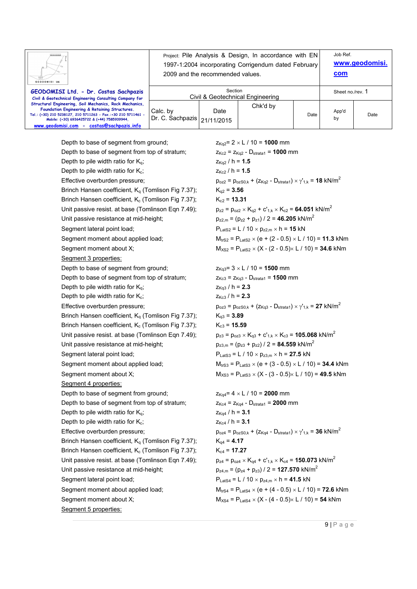| GEODOMISI Ltd.                                                                                                                                                                                                                                                          | Project: Pile Analysis & Design, In accordance with EN<br>1997-1:2004 incorporating Corrigendum dated February<br>2009 and the recommended values. |      |          |      | Job Ref.<br>com  | www.geodomisi. |
|-------------------------------------------------------------------------------------------------------------------------------------------------------------------------------------------------------------------------------------------------------------------------|----------------------------------------------------------------------------------------------------------------------------------------------------|------|----------|------|------------------|----------------|
| GEODOMISI Ltd. - Dr. Costas Sachpazis<br>Civil & Geotechnical Engineering Consulting Company for                                                                                                                                                                        | Section<br>Civil & Geotechnical Engineering                                                                                                        |      |          |      | Sheet no./rev. 1 |                |
| Structural Engineering, Soil Mechanics, Rock Mechanics,<br>Foundation Engineering & Retaining Structures.<br>Tel.: (+30) 210 5238127, 210 5711263 - Fax.:+30 210 5711461 -<br>Mobile: (+30) 6936425722 & (+44) 7585939944,<br>www.geodomisi.com - costas@sachpazis.info | Calc. by<br>Dr. C. Sachpazis   21/11/2015                                                                                                          | Date | Chk'd by | Date | App'd<br>by      | Date           |

Depth to base of segment from ground;  $Z_{K\alpha2} = 2 \times L / 10 = 1000$  mm Depth to base of segment from top of stratum;  $Z_{Kc2} = Z_{Kc2} - D_{strata1} = 1000$  mm Depth to pile width ratio for  $K_q$ ;  $Z_{Kq2} / h = 1.5$ Depth to pile width ratio for  $K_c$ ;  $Z_{Kc2} / h = 1.5$ Effective overburden pressure;  $p_{oz2} = p_{ozS0,k} + (z_{Kq2} - D_{stratal}) \times \gamma_{1,k} = 18 \text{ kN/m}^2$ Brinch Hansen coefficient,  $K_q$  (Tomlison Fig 7.37);  $K_{q2} = 3.56$ Brinch Hansen coefficient, K<sub>c</sub> (Tomlison Fig 7.37); K<sub>c2</sub> = **13.31** Unit passive resist. at base (Tomlinson Eqn 7.49);  $p_{z2} = p_{oz2} \times K_{q2} + c'_{1,k} \times K_{c2} = 64.051 \text{ kN/m}^2$ Unit passive resistance at mid-height;  $p_{z2,m} = (p_{z2} + p_{z1}) / 2 = 46.205 \text{ kN/m}^2$ Segment lateral point load;  $P_{\text{LatS2}} = L / 10 \times p_{\text{z2,m}} \times h = 15 kN$ Segment moment about applied load;  $M_{\text{trS2}} = P_{\text{LatS2}} \times (e + (2 - 0.5) \times L / 10) = 11.3$  kNm Segment moment about X;  $M_{XSS} = P_{\text{Lats2}} \times (X - (2 - 0.5) \times L / 10) = 34.6$  kNm Segment 3 properties: Depth to base of segment from ground;  $Z_{Kq3} = 3 \times L / 10 = 1500$  mm Depth to base of segment from top of stratum;  $Z_{Kc3} = Z_{Kq3} - D_{\text{strata1}} = 1500 \text{ mm}$ Depth to pile width ratio for  $K_q$ ;  $Z_{Kq3} / h = 2.3$ Depth to pile width ratio for  $K_c$ ;  $Z_{Kc3} / h = 2.3$ Effective overburden pressure;  $p_{oz3} = p_{ozS0,k} + (z_{Kq3} - D_{stratal}) \times \gamma'_{1,k} = 27$  kN/m<sup>2</sup> Brinch Hansen coefficient,  $K_q$  (Tomlison Fig 7.37);  $K_{q3} = 3.89$ Brinch Hansen coefficient, K<sub>c</sub> (Tomlison Fig 7.37); K<sub>c3</sub> = **15.59** Unit passive resist. at base (Tomlinson Eqn 7.49);  $p_{z3} = p_{0z3} \times K_{03} + c'_{1,k} \times K_{c3} = 105.068 \text{ kN/m}^2$ Unit passive resistance at mid-height;  $p_{z3,m} = (p_{z3} + p_{z2}) / 2 = 84.559 \text{ kN/m}^2$ Segment lateral point load;  $P_{\text{Lats3}} = L / 10 \times p_{\text{z3,m}} \times h = 27.5 \text{ kN}$ Segment moment about applied load;  $M_{\text{trS3}} = P_{\text{LatS3}} \times (e + (3 - 0.5) \times L / 10) = 34.4$  kNm Segment moment about X;  $M_{XSS} = P_{\text{Lats3}} \times (X - (3 - 0.5) \times L / 10) = 49.5 \text{ kNm}$ Segment 4 properties: Depth to base of segment from ground;  $Z_{Kq4} = 4 \times L / 10 = 2000$  mm Depth to base of segment from top of stratum;  $Z_{Kc4} = Z_{Kq4} - D_{\text{strata1}} = 2000$  mm Depth to pile width ratio for  $K_q$ ;  $Z_{Kq4} / h = 3.1$ Depth to pile width ratio for  $K_c$ ;  $Z_{Kc4} / h = 3.1$ Effective overburden pressure;  $p_{0z4} = p_{0z80,k} + (z_{Kq4} - D_{\text{strata1}}) \times \gamma_{1,k} = 36 \text{ kN/m}^2$ Brinch Hansen coefficient,  $K_q$  (Tomlison Fig 7.37);  $K_{q4} = 4.17$ Brinch Hansen coefficient, K<sub>c</sub> (Tomlison Fig 7.37); K<sub>c4</sub> = **17.27** Unit passive resist. at base (Tomlinson Eqn 7.49);  $p_{z4} = p_{oz4} \times K_{q4} + c'_{1,k} \times K_{c4} = 150.073$  kN/m<sup>2</sup> Unit passive resistance at mid-height;  $p_{z4,m} = (p_{z4} + p_{z3}) / 2 = 127.570 \text{ kN/m}^2$ Segment lateral point load;  $P_{\text{LatS4}} = L / 10 \times p_{\text{Z4,m}} \times h = 41.5 \text{ kN}$ Segment moment about applied load;  $M_{\text{trS4}} = P_{\text{LatS4}} \times (e + (4 - 0.5) \times L / 10) = 72.6$  kNm Segment moment about X;  $M_{XSA} = P_{LatSA} \times (X - (4 - 0.5) \times L / 10) = 54$  kNm Segment 5 properties: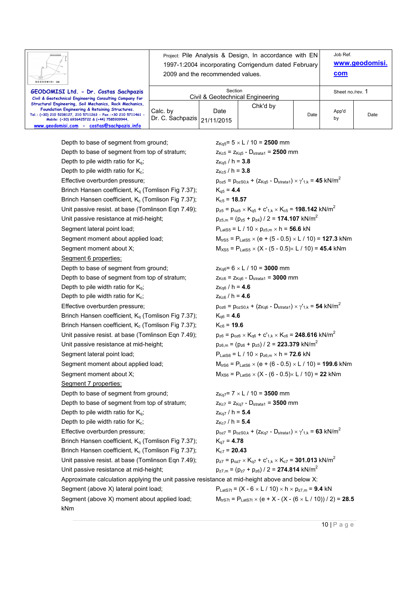| GEODOMISI Ltd.                                                                                                                                                                                                                                                          | Project: Pile Analysis & Design, In accordance with EN<br>1997-1:2004 incorporating Corrigendum dated February<br>2009 and the recommended values. |      |          |      | Job Ref.<br>com  | www.geodomisi. |
|-------------------------------------------------------------------------------------------------------------------------------------------------------------------------------------------------------------------------------------------------------------------------|----------------------------------------------------------------------------------------------------------------------------------------------------|------|----------|------|------------------|----------------|
| GEODOMISI Ltd. - Dr. Costas Sachpazis<br>Civil & Geotechnical Engineering Consulting Company for                                                                                                                                                                        | Section<br>Civil & Geotechnical Engineering                                                                                                        |      |          |      | Sheet no./rev. 1 |                |
| Structural Engineering, Soil Mechanics, Rock Mechanics,<br>Foundation Engineering & Retaining Structures.<br>Tel.: (+30) 210 5238127, 210 5711263 - Fax.:+30 210 5711461 -<br>Mobile: (+30) 6936425722 & (+44) 7585939944.<br>www.geodomisi.com - costas@sachpazis.info | Calc. by<br>Dr. C. Sachpazis   21/11/2015                                                                                                          | Date | Chk'd by | Date | App'd<br>by      | Date           |

Depth to base of segment from ground;  $Z_{Ka5} = 5 \times L / 10 = 2500$  mm Depth to base of segment from top of stratum;  $Z_{Kc5} = Z_{Ka5} - D_{strata1} = 2500$  mm Depth to pile width ratio for  $K_q$ ;  $Z_{Kq5} / h = 3.8$ Depth to pile width ratio for  $K_c$ ;  $Z_{Kc5} / h = 3.8$ Effective overburden pressure;  $p_{oz5} = p_{ozS0,k} + (z_{Kq5} - D_{\text{strata1}}) \times \gamma_{1,k} = 45 \text{ kN/m}^2$ Brinch Hansen coefficient,  $K_a$  (Tomlison Fig 7.37);  $K_{a5} = 4.4$ Brinch Hansen coefficient, K<sub>c</sub> (Tomlison Fig 7.37); K<sub>c5</sub> = **18.57** Unit passive resist. at base (Tomlinson Eqn 7.49);  $p_{z5} = p_{oz5} \times K_{q5} + c'_{1,k} \times K_{q5} =$  **198.142** kN/m<sup>2</sup> Unit passive resistance at mid-height;  $p_{z5,m} = (p_{z5} + p_{z4}) / 2 = 174.107 \text{ kN/m}^2$ Segment lateral point load;  $P_{\text{LatS5}} = L / 10 \times p_{\text{z5,m}} \times h = 56.6 \text{ kN}$ Segment moment about applied load;  $M_{\text{trS5}} = P_{\text{LatS5}} \times (e + (5 - 0.5) \times L / 10) = 127.3$  kNm Segment moment about X;  $M_{XSS} = P_{\text{LatSS}} \times (X - (5 - 0.5) \times L / 10) = 45.4$  kNm Segment 6 properties: Depth to base of segment from ground;  $Z_{Kq6} = 6 \times L / 10 = 3000$  mm Depth to base of segment from top of stratum;  $Z_{Kc6} = Z_{Kq6} - D_{\text{strata1}} = 3000$  mm Depth to pile width ratio for  $K_q$ ;  $Z_{Kq6} / h = 4.6$ Depth to pile width ratio for  $K_c$ ;  $Z_{Kc6} / h = 4.6$ Effective overburden pressure;  $p_{oz6} = p_{oz50,k} + (z_{Kq6} - D_{strata1}) \times y'_{1,k} = 54$  kN/m<sup>2</sup> Brinch Hansen coefficient, K<sub>q</sub> (Tomlison Fig 7.37); K<sub>q6</sub> = 4.6 Brinch Hansen coefficient,  $K_c$  (Tomlison Fig 7.37);  $K_{c6} = 19.6$ Unit passive resist. at base (Tomlinson Eqn 7.49);  $p_{z6} = p_{oz6} \times K_{a6} + c'_{1,k} \times K_{c6} =$  **248.616** kN/m<sup>2</sup> Unit passive resistance at mid-height;  $p_{z6,m} = (p_{z6} + p_{z5}) / 2 = 223.379 \text{ kN/m}^2$ Segment lateral point load;  $P_{\text{LatS6}} = L / 10 \times p_{\text{z6,m}} \times h = 72.6 \text{ kN}$ Segment moment about applied load;  $M_{\text{trS6}} = P_{\text{LatS6}} \times (e + (6 - 0.5) \times L / 10) = 199.6$  kNm Segment moment about X;  $M_{XSS} = P_{LatSS} \times (X - (6 - 0.5) \times L / 10) = 22$  kNm Segment 7 properties: Depth to base of segment from ground;  $Z_{Kq7} = 7 \times L / 10 = 3500$  mm Depth to base of segment from top of stratum;  $Z_{Kc7} = Z_{Kq7} - D_{stratal} = 3500$  mm Depth to pile width ratio for  $K_q$ ;  $Z_{Kq7} / h = 5.4$ Depth to pile width ratio for  $K_c$ ;  $Z_{Kc7} / h = 5.4$ Effective overburden pressure;  $p_{oz7} = p_{ozS0,k} + (z_{Kq7} - D_{\text{strata1}}) \times \gamma_{1,k} = 63 \text{ kN/m}^2$ Brinch Hansen coefficient,  $K_q$  (Tomlison Fig 7.37);  $K_{q7} = 4.78$ Brinch Hansen coefficient, K<sub>c</sub> (Tomlison Fig 7.37); K<sub>c7</sub> = **20.43** Unit passive resist. at base (Tomlinson Eqn 7.49);  $p_{z7} = p_{oz7} \times K_{q7} + c'_{1,k} \times K_{q7} =$  **301.013** kN/m<sup>2</sup> Unit passive resistance at mid-height;  $p_{z7,m} = (p_{z7} + p_{z6}) / 2 = 274.814 \text{ kN/m}^2$ Approximate calculation applying the unit passive resistance at mid-height above and below X: Segment (above X) lateral point load;  $P_{\text{LatS7t}} = (X - 6 \times L / 10) \times h \times p_{\text{Z7,m}} = 9.4 \text{ kN}$ Segment (above X) moment about applied load;  $M_{\text{trS7t}} = P_{\text{LatS7t}} \times (e + X - (X - (6 \times L / 10))/2) = 28.5$ 

kNm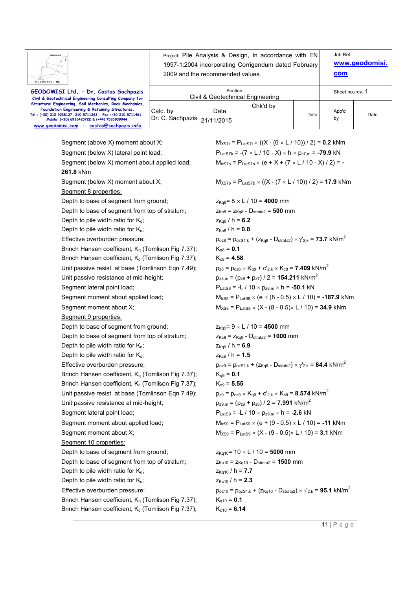| GEODOMISI Ltd.                                                                                                                                                                                                                                                          | Project: Pile Analysis & Design, In accordance with EN<br>1997-1:2004 incorporating Corrigendum dated February<br>2009 and the recommended values. |      |          |      | Job Ref.<br><u>com</u> | www.geodomisi. |
|-------------------------------------------------------------------------------------------------------------------------------------------------------------------------------------------------------------------------------------------------------------------------|----------------------------------------------------------------------------------------------------------------------------------------------------|------|----------|------|------------------------|----------------|
| GEODOMISI Ltd. - Dr. Costas Sachpazis<br>Civil & Geotechnical Engineering Consulting Company for                                                                                                                                                                        | Section<br>Civil & Geotechnical Engineering                                                                                                        |      |          |      | Sheet no./rev. 1       |                |
| Structural Engineering, Soil Mechanics, Rock Mechanics,<br>Foundation Engineering & Retaining Structures.<br>Tel.: (+30) 210 5238127, 210 5711263 - Fax.:+30 210 5711461 -<br>Mobile: (+30) 6936425722 & (+44) 7585939944.<br>www.geodomisi.com - costas@sachpazis.info | Calc. by<br>  Dr. C. Sachpazis   21/11/2015                                                                                                        | Date | Chk'd by | Date | App'd<br>by            | Date           |

Segment (above X) moment about X;  $M_{XST} = P_{\text{LaIST}} \times ((X - (6 \times L / 10)) / 2) = 0.2$  kNm Segment (below X) lateral point load;  $P_{\text{Lats7b}} = -(7 \times L / 10 - X) \times h \times p_{7} = -79.9$  kN Segment (below X) moment about applied load;  $M_{trSD} = P_{LatSD} \times (e + X + (7 \times L / 10 - X) / 2) = -$ **261.8** kNm Segment (below X) moment about X;  $M_{X57b} = P_{Laf57b} \times ((X - (7 \times L / 10))/2) = 17.9$  kNm Segment 8 properties: Depth to base of segment from ground;  $Z_{Kq8}=8 \times L / 10 = 4000$  mm Depth to base of segment from top of stratum;  $Z_{Kc8} = Z_{Kq8} - D_{strata2} = 500$  mm Depth to pile width ratio for  $K_q$ ;  $Z_{Kq8} / h = 6.2$ Depth to pile width ratio for  $K_c$ ;  $Z_{Kc8} / h = 0.8$ Effective overburden pressure;  $p_{oz8} = p_{oz81,k} + (z_{Kq8} - D_{stratz2}) \times \gamma'_{2,k} = 73.7 \text{ kN/m}^2$ Brinch Hansen coefficient,  $K_q$  (Tomlison Fig 7.37);  $K_{q8} = 0.1$ Brinch Hansen coefficient,  $K_c$  (Tomlison Fig 7.37);  $K_{c8} = 4.58$ Unit passive resist. at base (Tomlinson Eqn 7.49);  $p_{z8} = p_{oz8} \times K_{q8} + c'_{z} \times K_{q8} =$  **7.409** kN/m<sup>2</sup> Unit passive resistance at mid-height;  $p_{28,m} = (p_{28} + p_{27}) / 2 = 154.211 \text{ kN/m}^2$ Segment lateral point load;  $P_{\text{LafS8}} = -L / 10 \times p_{\text{z8,m}} \times h = -50.1 \text{ kN}$ Segment moment about X;  $M_{XSS} = P_{\text{LatSS}} \times (X - (8 - 0.5) \times L / 10) = 34.9$  kNm Segment 9 properties: Depth to base of segment from ground;  $Z_{Kq9} = 9 \times L / 10 = 4500$  mm Depth to base of segment from top of stratum;  $Z_{Kc9} = Z_{Kq9} - D_{strata2} = 1000$  mm Depth to pile width ratio for  $K_q$ ;  $Z_{Kq9}$  / h = 6.9 Depth to pile width ratio for  $K_c$ ;  $Z_{Kc9} / h = 1.5$ Effective overburden pressure;  $p_{oz9} = p_{oz51,k} + (z_{Kq9} - D_{strata2}) \times \gamma'_{2,k} = 84.4 \text{ kN/m}^2$ Brinch Hansen coefficient,  $K_q$  (Tomlison Fig 7.37);  $K_{q9} = 0.1$ Brinch Hansen coefficient, K<sub>c</sub> (Tomlison Fig 7.37); K<sub>c9</sub> = 5.55 Unit passive resist. at base (Tomlinson Eqn 7.49);  $p_{z9} = p_{0z9} \times K_{q9} + c'_{2,k} \times K_{c9} = 8.574 \text{ kN/m}^2$ Unit passive resistance at mid-height;  $p_{z9,m} = (p_{z9} + p_{z8}) / 2 = 7.991 \text{ kN/m}^2$ Segment lateral point load;  $P_{\text{Lats9}} = -L / 10 \times p_{\text{z9,m}} \times h = -2.6 \text{ kN}$ Segment moment about applied load;  $M_{trS9} = P_{LatS9} \times (e + (9 - 0.5) \times L / 10) = -11$  kNm Segment moment about X;  $M_{XSB} = P_{\text{Lats9}} \times (X - (9 - 0.5) \times L / 10) = 3.1$  kNm Segment 10 properties: Depth to base of segment from ground;  $Z_{Kq10} = 10 \times L / 10 = 5000$  mm Depth to base of segment from top of stratum;  $Z_{Kc10} = Z_{Kq10} - D_{strata2} = 1500$  mm Depth to pile width ratio for  $K_q$ ;  $Z_{Kq10} / h = 7.7$ Depth to pile width ratio for  $K_c$ ;  $Z_{Kc10} / h = 2.3$ Brinch Hansen coefficient,  $K_q$  (Tomlison Fig 7.37);  $K_{q10} = 0.1$ Brinch Hansen coefficient,  $K_c$  (Tomlison Fig 7.37);  $K_{c10} = 6.14$ 

Segment moment about applied load;  $M_{\text{trSS}} = P_{\text{LatSS}} \times (e + (8 - 0.5) \times L / 10) = -187.9$  kNm

Effective overburden pressure;  $p_{oz10} = p_{oz51,k} + (z_{Kq10} - D_{stratz}) \times \gamma'_{2,k} = 95.1 \text{ kN/m}^2$ 

11 | P a g e